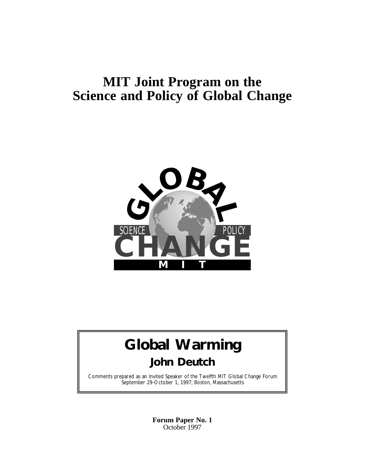## **MIT Joint Program on the Science and Policy of Global Change**



## **Global Warming John Deutch**

Comments prepared as an Invited Speaker of the Twelfth MIT Global Change Forum September 29-October 1, 1997; Boston, Massachusetts

> **Forum Paper No. 1** October 1997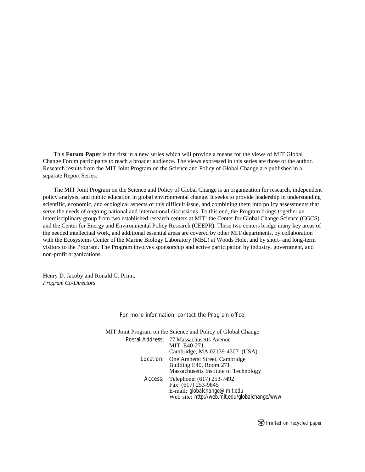This **Forum Paper** is the first in a new series which will provide a means for the views of MIT Global Change Forum participants to reach a broader audience. The views expressed in this series are those of the author. Research results from the MIT Joint Program on the Science and Policy of Global Change are published in a separate Report Series.

The MIT Joint Program on the Science and Policy of Global Change is an organization for research, independent policy analysis, and public education in global environmental change. It seeks to provide leadership in understanding scientific, economic, and ecological aspects of this difficult issue, and combining them into policy assessments that serve the needs of ongoing national and international discussions. To this end, the Program brings together an interdisciplinary group from two established research centers at MIT: the Center for Global Change Science (CGCS) and the Center for Energy and Environmental Policy Research (CEEPR). These two centers bridge many key areas of the needed intellectual work, and additional essential areas are covered by other MIT departments, by collaboration with the Ecosystems Center of the Marine Biology Laboratory (MBL) at Woods Hole, and by short- and long-term visitors to the Program. The Program involves sponsorship and active participation by industry, government, and non-profit organizations.

Henry D. Jacoby and Ronald G. Prinn, *Program Co-Directors*

For more information, contact the Program office:

| MIT Joint Program on the Science and Policy of Global Change |                                                                                                                                           |
|--------------------------------------------------------------|-------------------------------------------------------------------------------------------------------------------------------------------|
|                                                              | Postal Address: 77 Massachusetts Avenue<br>MIT E40-271<br>Cambridge, MA 02139-4307 (USA)                                                  |
|                                                              | Location: One Amherst Street, Cambridge<br>Building E40, Room 271<br>Massachusetts Institute of Technology                                |
|                                                              | Access: Telephone: (617) 253-7492<br>Fax: (617) 253-9845<br>E-mail: globalchange@mit.edu<br>Web site: http://web.mit.edu/globalchange/www |

*Printed on recycled paper*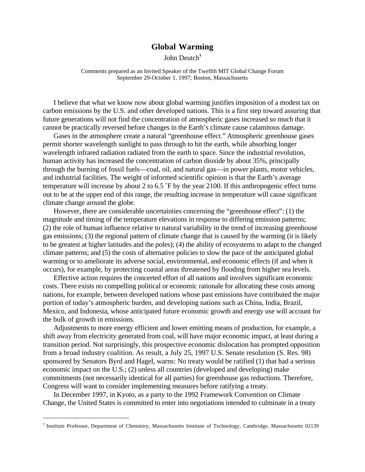## **Global Warming**

John Deutch**†**

Comments prepared as an Invited Speaker of the Twelfth MIT Global Change Forum September 29-October 1, 1997; Boston, Massachusetts

I believe that what we know now about global warming justifies imposition of a modest tax on carbon emissions by the U.S. and other developed nations. This is a first step toward assuring that future generations will not find the concentration of atmospheric gases increased so much that it cannot be practically reversed before changes in the Earth's climate cause calamitous damage.

Gases in the atmosphere create a natural "greenhouse effect." Atmospheric greenhouse gases permit shorter wavelength sunlight to pass through to hit the earth, while absorbing longer wavelength infrared radiation radiated from the earth to space. Since the industrial revolution, human activity has increased the concentration of carbon dioxide by about 35%, principally through the burning of fossil fuels—coal, oil, and natural gas—in power plants, motor vehicles, and industrial facilities. The weight of informed scientific opinion is that the Earth's average temperature will increase by about 2 to 6.5 ˚F by the year 2100. If this anthropogenic effect turns out to be at the upper end of this range, the resulting increase in temperature will cause significant climate change around the globe.

However, there are considerable uncertainties concerning the "greenhouse effect": (1) the magnitude and timing of the temperature elevations in response to differing emission patterns; (2) the role of human influence relative to natural variability in the trend of increasing greenhouse gas emissions; (3) the regional pattern of climate change that is caused by the warming (it is likely to be greatest at higher latitudes and the poles); (4) the ability of ecosystems to adapt to the changed climate patterns; and (5) the costs of alternative policies to slow the pace of the anticipated global warming or to ameliorate its adverse social, environmental, and economic effects (if and when it occurs), for example, by protecting coastal areas threatened by flooding from higher sea levels.

Effective action requires the concerted effort of all nations and involves significant economic costs. There exists no compelling political or economic rationale for allocating these costs among nations, for example, between developed nations whose past emissions have contributed the major portion of today's atmospheric burden, and developing nations such as China, India, Brazil, Mexico, and Indonesia, whose anticipated future economic growth and energy use will account for the bulk of growth in emissions.

Adjustments to more energy efficient and lower emitting means of production, for example, a shift away from electricity generated from coal, will have major economic impact, at least during a transition period. Not surprisingly, this prospective economic dislocation has prompted opposition from a broad industry coalition. As result, a July 25, 1997 U.S. Senate resolution (S. Res. 98) sponsored by Senators Byrd and Hagel, warns: No treaty would be ratified (1) that had a serious economic impact on the U.S.; (2) unless all countries (developed and developing) make commitments (not necessarily identical for all parties) for greenhouse gas reductions. Therefore, Congress will want to consider implementing measures before ratifying a treaty.

In December 1997, in Kyoto, as a party to the 1992 Framework Convention on Climate Change, the United States is committed to enter into negotiations intended to culminate in a treaty

 $\overline{a}$ 

<sup>†</sup> Institute Professor, Department of Chemistry, Massachusetts Institute of Technology, Cambridge, Massachusetts 02139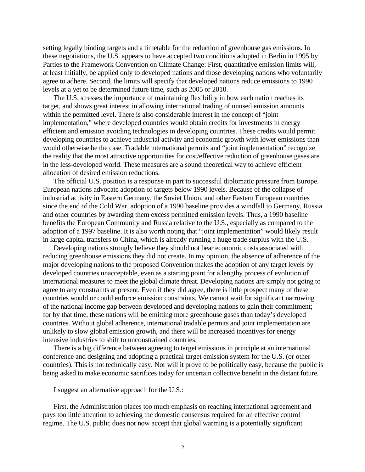setting legally binding targets and a timetable for the reduction of greenhouse gas emissions. In these negotiations, the U.S. appears to have accepted two conditions adopted in Berlin in 1995 by Parties to the Framework Convention on Climate Change: First, quantitative emission limits will, at least initially, be applied only to developed nations and those developing nations who voluntarily agree to adhere. Second, the limits will specify that developed nations reduce emissions to 1990 levels at a yet to be determined future time, such as 2005 or 2010.

The U.S. stresses the importance of maintaining flexibility in how each nation reaches its target, and shows great interest in allowing international trading of unused emission amounts within the permitted level. There is also considerable interest in the concept of "joint implementation," where developed countries would obtain credits for investments in energy efficient and emission avoiding technologies in developing countries. These credits would permit developing countries to achieve industrial activity and economic growth with lower emissions than would otherwise be the case. Tradable international permits and "joint implementation" recognize the reality that the most attractive opportunities for cost/effective reduction of greenhouse gases are in the less-developed world. These measures are a sound theoretical way to achieve efficient allocation of desired emission reductions.

The official U.S. position is a response in part to successful diplomatic pressure from Europe. European nations advocate adoption of targets below 1990 levels. Because of the collapse of industrial activity in Eastern Germany, the Soviet Union, and other Eastern European countries since the end of the Cold War, adoption of a 1990 baseline provides a windfall to Germany, Russia and other countries by awarding them excess permitted emission levels. Thus, a 1990 baseline benefits the European Community and Russia relative to the U.S., especially as compared to the adoption of a 1997 baseline. It is also worth noting that "joint implementation" would likely result in large capital transfers to China, which is already running a huge trade surplus with the U.S.

Developing nations strongly believe they should not bear economic costs associated with reducing greenhouse emissions they did not create. In my opinion, the absence of adherence of the major developing nations to the proposed Convention makes the adoption of any target levels by developed countries unacceptable, even as a starting point for a lengthy process of evolution of international measures to meet the global climate threat. Developing nations are simply not going to agree to any constraints at present. Even if they did agree, there is little prospect many of these countries would or could enforce emission constraints. We cannot wait for significant narrowing of the national income gap between developed and developing nations to gain their commitment; for by that time, these nations will be emitting more greenhouse gases than today's developed countries. Without global adherence, international tradable permits and joint implementation are unlikely to slow global emission growth, and there will be increased incentives for energy intensive industries to shift to unconstrained countries.

There is a big difference between agreeing to target emissions in principle at an international conference and designing and adopting a practical target emission system for the U.S. (or other countries). This is not technically easy. Nor will it prove to be politically easy, because the public is being asked to make economic sacrifices today for uncertain collective benefit in the distant future.

I suggest an alternative approach for the U.S.:

First, the Administration places too much emphasis on reaching international agreement and pays too little attention to achieving the domestic consensus required for an effective control regime. The U.S. public does not now accept that global warming is a potentially significant